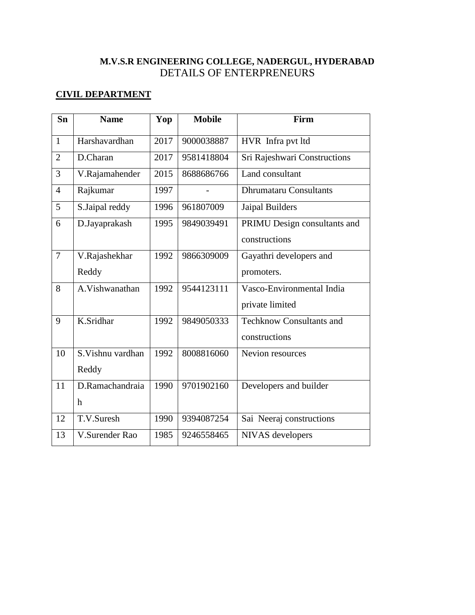## **M.V.S.R ENGINEERING COLLEGE, NADERGUL, HYDERABAD** DETAILS OF ENTERPRENEURS

### **CIVIL DEPARTMENT**

| Sn             | <b>Name</b>      | Yop  | <b>Mobile</b> | Firm                            |
|----------------|------------------|------|---------------|---------------------------------|
| $\mathbf{1}$   | Harshavardhan    | 2017 | 9000038887    | HVR Infra pvt ltd               |
| $\overline{2}$ | D.Charan         | 2017 | 9581418804    | Sri Rajeshwari Constructions    |
| 3              | V.Rajamahender   | 2015 | 8688686766    | Land consultant                 |
| $\overline{4}$ | Rajkumar         | 1997 |               | <b>Dhrumataru Consultants</b>   |
| 5              | S.Jaipal reddy   | 1996 | 961807009     | Jaipal Builders                 |
| 6              | D.Jayaprakash    | 1995 | 9849039491    | PRIMU Design consultants and    |
|                |                  |      |               | constructions                   |
| $\overline{7}$ | V.Rajashekhar    | 1992 | 9866309009    | Gayathri developers and         |
|                | Reddy            |      |               | promoters.                      |
| 8              | A.Vishwanathan   | 1992 | 9544123111    | Vasco-Environmental India       |
|                |                  |      |               | private limited                 |
| 9              | K.Sridhar        | 1992 | 9849050333    | <b>Techknow Consultants and</b> |
|                |                  |      |               | constructions                   |
| 10             | S.Vishnu vardhan | 1992 | 8008816060    | Nevion resources                |
|                | Reddy            |      |               |                                 |
| 11             | D.Ramachandraia  | 1990 | 9701902160    | Developers and builder          |
|                | h                |      |               |                                 |
| 12             | T.V.Suresh       | 1990 | 9394087254    | Sai Neeraj constructions        |
| 13             | V.Surender Rao   | 1985 | 9246558465    | NIVAS developers                |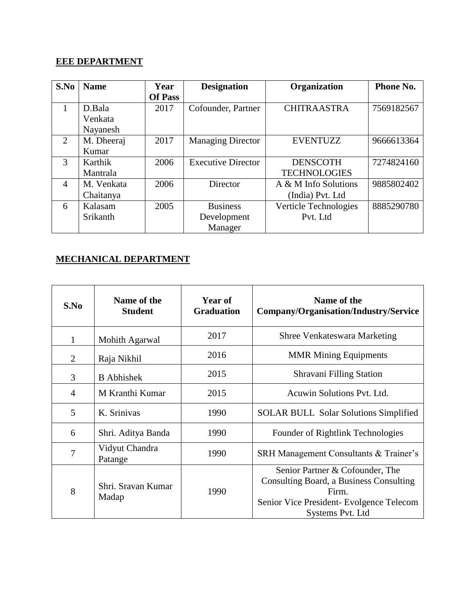# **EEE DEPARTMENT**

| S.No           | <b>Name</b> | Year<br><b>Of Pass</b> | <b>Designation</b>        | Organization          | Phone No.  |
|----------------|-------------|------------------------|---------------------------|-----------------------|------------|
|                |             |                        |                           |                       |            |
| $\mathbf{1}$   | D.Bala      | 2017                   | Cofounder, Partner        | <b>CHITRAASTRA</b>    | 7569182567 |
|                | Venkata     |                        |                           |                       |            |
|                | Nayanesh    |                        |                           |                       |            |
| 2              | M. Dheeraj  | 2017                   | <b>Managing Director</b>  | <b>EVENTUZZ</b>       | 9666613364 |
|                | Kumar       |                        |                           |                       |            |
| 3              | Karthik     | 2006                   | <b>Executive Director</b> | <b>DENSCOTH</b>       | 7274824160 |
|                | Mantrala    |                        |                           | <b>TECHNOLOGIES</b>   |            |
| $\overline{4}$ | M. Venkata  | 2006                   | Director                  | A & M Info Solutions  | 9885802402 |
|                | Chaitanya   |                        |                           | (India) Pvt. Ltd      |            |
| 6              | Kalasam     | 2005                   | <b>Business</b>           | Verticle Technologies | 8885290780 |
|                | Srikanth    |                        | Development               | Pvt. Ltd              |            |
|                |             |                        | Manager                   |                       |            |

#### **MECHANICAL DEPARTMENT**

| S.No | Name of the<br><b>Student</b> | Year of<br><b>Graduation</b> | Name of the<br>Company/Organisation/Industry/Service                                                                                                |
|------|-------------------------------|------------------------------|-----------------------------------------------------------------------------------------------------------------------------------------------------|
| 1    | Mohith Agarwal                | 2017                         | <b>Shree Venkateswara Marketing</b>                                                                                                                 |
| 2    | Raja Nikhil                   | 2016                         | <b>MMR Mining Equipments</b>                                                                                                                        |
| 3    | <b>B</b> Abhishek             | 2015                         | Shravani Filling Station                                                                                                                            |
| 4    | M Kranthi Kumar               | 2015                         | Acuwin Solutions Pyt. Ltd.                                                                                                                          |
| 5    | K. Srinivas                   | 1990                         | <b>SOLAR BULL Solar Solutions Simplified</b>                                                                                                        |
| 6    | Shri. Aditya Banda            | 1990                         | Founder of Rightlink Technologies                                                                                                                   |
| 7    | Vidyut Chandra<br>Patange     | 1990                         | SRH Management Consultants & Trainer's                                                                                                              |
| 8    | Shri. Sravan Kumar<br>Madap   | 1990                         | Senior Partner & Cofounder, The<br>Consulting Board, a Business Consulting<br>Firm.<br>Senior Vice President- Evolgence Telecom<br>Systems Pvt. Ltd |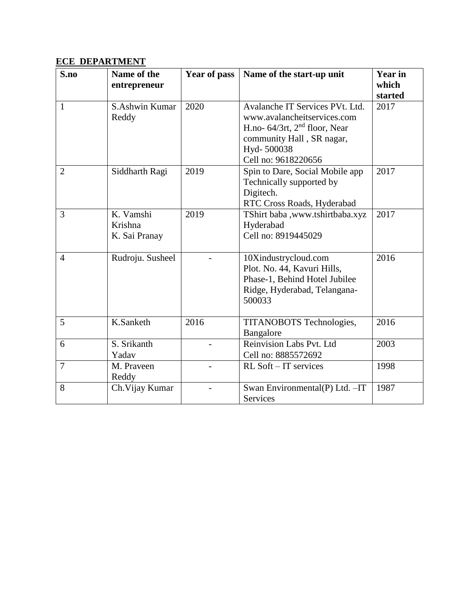# **ECE DEPARTMENT**

| S.no           | Name of the      | Year of pass | Name of the start-up unit          | <b>Year in</b> |
|----------------|------------------|--------------|------------------------------------|----------------|
|                | entrepreneur     |              |                                    | which          |
|                |                  |              |                                    | started        |
| $\mathbf{1}$   | S.Ashwin Kumar   | 2020         | Avalanche IT Services PVt. Ltd.    | 2017           |
|                | Reddy            |              | www.avalancheitservices.com        |                |
|                |                  |              | H.no- $64/3$ rt, $2nd$ floor, Near |                |
|                |                  |              | community Hall, SR nagar,          |                |
|                |                  |              | Hyd-500038                         |                |
|                |                  |              | Cell no: 9618220656                |                |
| $\overline{2}$ | Siddharth Ragi   | 2019         | Spin to Dare, Social Mobile app    | 2017           |
|                |                  |              | Technically supported by           |                |
|                |                  |              | Digitech.                          |                |
|                |                  |              | RTC Cross Roads, Hyderabad         |                |
| $\overline{3}$ | K. Vamshi        | 2019         | TShirt baba ,www.tshirtbaba.xyz    | 2017           |
|                | Krishna          |              | Hyderabad                          |                |
|                | K. Sai Pranay    |              | Cell no: 8919445029                |                |
|                |                  |              |                                    |                |
| $\overline{4}$ | Rudroju. Susheel |              | 10Xindustrycloud.com               | 2016           |
|                |                  |              | Plot. No. 44, Kavuri Hills,        |                |
|                |                  |              | Phase-1, Behind Hotel Jubilee      |                |
|                |                  |              | Ridge, Hyderabad, Telangana-       |                |
|                |                  |              | 500033                             |                |
|                |                  |              |                                    |                |
| 5              | K.Sanketh        | 2016         | TITANOBOTS Technologies,           | 2016           |
|                |                  |              | Bangalore                          |                |
| 6              | S. Srikanth      |              | Reinvision Labs Pvt. Ltd           | 2003           |
|                | Yadav            |              | Cell no: 8885572692                |                |
| $\overline{7}$ | M. Praveen       |              | $RL$ Soft – IT services            | 1998           |
|                | Reddy            |              |                                    |                |
| 8              | Ch. Vijay Kumar  |              | Swan Environmental(P) Ltd. - IT    | 1987           |
|                |                  |              | Services                           |                |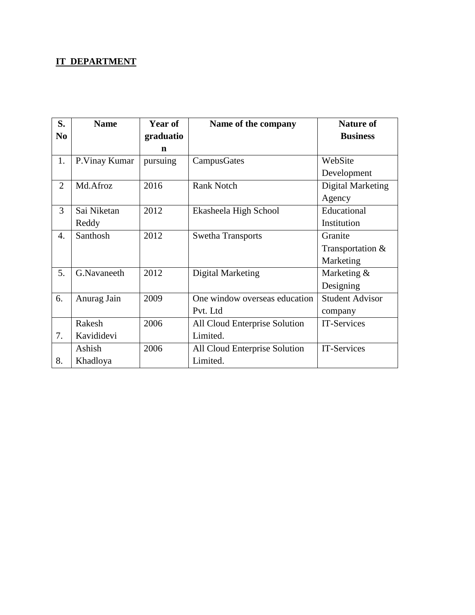# **IT DEPARTMENT**

| S.             | <b>Name</b>   | Year of   | Name of the company           | <b>Nature of</b>         |
|----------------|---------------|-----------|-------------------------------|--------------------------|
| N <sub>0</sub> |               | graduatio |                               | <b>Business</b>          |
|                |               | n         |                               |                          |
| 1.             | P.Vinay Kumar | pursuing  | CampusGates                   | WebSite                  |
|                |               |           |                               | Development              |
| $\overline{2}$ | Md.Afroz      | 2016      | <b>Rank Notch</b>             | <b>Digital Marketing</b> |
|                |               |           |                               | Agency                   |
| 3              | Sai Niketan   | 2012      | Ekasheela High School         | Educational              |
|                | Reddy         |           |                               | Institution              |
| 4.             | Santhosh      | 2012      | <b>Swetha Transports</b>      | Granite                  |
|                |               |           |                               | Transportation &         |
|                |               |           |                               | Marketing                |
| 5.             | G.Navaneeth   | 2012      | Digital Marketing             | Marketing &              |
|                |               |           |                               | Designing                |
| 6.             | Anurag Jain   | 2009      | One window overseas education | <b>Student Advisor</b>   |
|                |               |           | Pvt. Ltd                      | company                  |
|                | Rakesh        | 2006      | All Cloud Enterprise Solution | IT-Services              |
| 7.             | Kavididevi    |           | Limited.                      |                          |
|                | Ashish        | 2006      | All Cloud Enterprise Solution | IT-Services              |
| 8.             | Khadloya      |           | Limited.                      |                          |